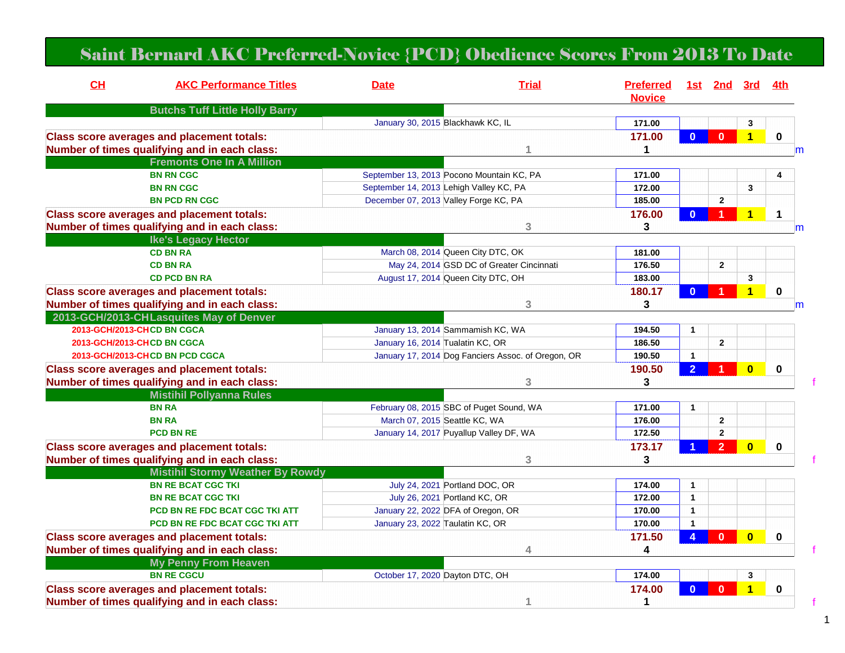## Saint Bernard AKC Preferred-Novice {PCD} Obedience Scores From 2013 To Date

| CH                                                            | <b>AKC Performance Titles</b>                     | <b>Date</b>                               | <b>Trial</b>                                       | <b>Preferred</b><br><b>Novice</b> |                | 1st 2nd 3rd    |                         | 4th         |
|---------------------------------------------------------------|---------------------------------------------------|-------------------------------------------|----------------------------------------------------|-----------------------------------|----------------|----------------|-------------------------|-------------|
|                                                               | <b>Butchs Tuff Little Holly Barry</b>             |                                           |                                                    |                                   |                |                |                         |             |
|                                                               |                                                   | January 30, 2015 Blackhawk KC, IL         |                                                    | 171.00                            |                |                | $\mathbf 3$             |             |
| <b>Class score averages and placement totals:</b>             |                                                   |                                           |                                                    | 171.00                            | $\Omega$       | $\mathbf{0}$   | $\overline{\mathbf{1}}$ | $\mathbf 0$ |
|                                                               | Number of times qualifying and in each class:     |                                           |                                                    | 1                                 |                |                |                         | m           |
|                                                               | <b>Fremonts One In A Million</b>                  |                                           |                                                    |                                   |                |                |                         |             |
|                                                               | <b>BN RN CGC</b>                                  | September 13, 2013 Pocono Mountain KC, PA |                                                    | 171.00                            |                |                |                         | 4           |
|                                                               | <b>BN RN CGC</b>                                  |                                           | September 14, 2013 Lehigh Valley KC, PA            |                                   |                |                | 3                       |             |
| December 07, 2013 Valley Forge KC, PA<br><b>BN PCD RN CGC</b> |                                                   |                                           |                                                    | 185.00                            |                | $\overline{2}$ |                         |             |
|                                                               | <b>Class score averages and placement totals:</b> |                                           |                                                    | 176.00                            | $\mathbf{0}$   | 1              | $\overline{\mathbf{1}}$ | 1           |
| Number of times qualifying and in each class:                 |                                                   | 3                                         |                                                    | 3                                 |                |                |                         | m           |
|                                                               | <b>Ike's Legacy Hector</b>                        |                                           |                                                    |                                   |                |                |                         |             |
|                                                               | <b>CD BN RA</b>                                   | March 08, 2014 Queen City DTC, OK         |                                                    | 181.00                            |                |                |                         |             |
|                                                               | <b>CD BN RA</b>                                   |                                           | May 24, 2014 GSD DC of Greater Cincinnati          | 176.50                            |                | $\mathbf{2}$   |                         |             |
|                                                               | <b>CD PCD BN RA</b>                               | August 17, 2014 Queen City DTC, OH        |                                                    | 183.00                            |                |                | 3                       |             |
|                                                               | <b>Class score averages and placement totals:</b> |                                           |                                                    | 180.17                            | $\mathbf{0}$   |                | $\overline{\mathbf{1}}$ | $\mathbf 0$ |
| Number of times qualifying and in each class:<br>3            |                                                   | 3                                         |                                                    |                                   |                | m              |                         |             |
|                                                               | 2013-GCH/2013-CHLasquites May of Denver           |                                           |                                                    |                                   |                |                |                         |             |
|                                                               | 2013-GCH/2013-CHCD BN CGCA                        | January 13, 2014 Sammamish KC, WA         |                                                    | 194.50                            | $\mathbf{1}$   |                |                         |             |
|                                                               | 2013-GCH/2013-CHCD BN CGCA                        | January 16, 2014 Tualatin KC, OR          |                                                    | 186.50                            |                | $\mathbf{2}$   |                         |             |
|                                                               | 2013-GCH/2013-CHCD BN PCD CGCA                    |                                           | January 17, 2014 Dog Fanciers Assoc. of Oregon, OR | 190.50                            | $\mathbf{1}$   |                |                         |             |
| <b>Class score averages and placement totals:</b>             |                                                   |                                           |                                                    | 190.50                            | $\overline{2}$ |                | $\overline{\mathbf{0}}$ | $\mathbf 0$ |
| Number of times qualifying and in each class:                 |                                                   |                                           | 3                                                  | 3                                 |                |                |                         |             |
|                                                               | <b>Mistihil Pollyanna Rules</b>                   |                                           |                                                    |                                   |                |                |                         |             |
|                                                               | <b>BN RA</b>                                      |                                           | February 08, 2015 SBC of Puget Sound, WA           | 171.00                            | $\mathbf{1}$   |                |                         |             |
|                                                               | <b>BN RA</b>                                      | March 07, 2015 Seattle KC, WA             |                                                    | 176.00                            |                | $\mathbf 2$    |                         |             |
|                                                               | <b>PCD BN RE</b>                                  |                                           | January 14, 2017 Puyallup Valley DF, WA            | 172.50                            |                | 2              |                         |             |
| <b>Class score averages and placement totals:</b>             |                                                   |                                           |                                                    | 173.17                            |                | $\mathcal{P}$  | $\overline{\mathbf{0}}$ | $\mathbf 0$ |
|                                                               | Number of times qualifying and in each class:     |                                           | 3                                                  | 3                                 |                |                |                         |             |
|                                                               | <b>Mistihil Stormy Weather By Rowdy</b>           |                                           |                                                    |                                   |                |                |                         |             |
|                                                               | <b>BN RE BCAT CGC TKI</b>                         | July 24, 2021 Portland DOC, OR            |                                                    | 174.00                            | $\mathbf{1}$   |                |                         |             |
|                                                               | <b>BN RE BCAT CGC TKI</b>                         | July 26, 2021 Portland KC, OR             |                                                    | 172.00                            | $\mathbf{1}$   |                |                         |             |
|                                                               | <b>PCD BN RE FDC BCAT CGC TKI ATT</b>             | January 22, 2022 DFA of Oregon, OR        |                                                    | 170.00                            | $\mathbf{1}$   |                |                         |             |
|                                                               | <b>PCD BN RE FDC BCAT CGC TKI ATT</b>             | January 23, 2022 Taulatin KC, OR          |                                                    | 170.00                            | $\mathbf 1$    |                |                         |             |
|                                                               | <b>Class score averages and placement totals:</b> |                                           |                                                    | 171.50                            |                | $\mathbf{0}$   | $\bf{0}$                | 0           |
|                                                               | Number of times qualifying and in each class:     |                                           | 4                                                  | 4                                 |                |                |                         |             |
|                                                               | <b>My Penny From Heaven</b>                       |                                           |                                                    |                                   |                |                |                         |             |
|                                                               | <b>BN RE CGCU</b>                                 | October 17, 2020 Dayton DTC, OH           |                                                    | 174.00                            |                |                | 3                       |             |
|                                                               | <b>Class score averages and placement totals:</b> |                                           |                                                    | 174.00                            |                | ሰ              | $\overline{\mathbf{1}}$ | $\mathbf 0$ |
|                                                               | Number of times qualifying and in each class:     |                                           | 1                                                  | 1                                 |                |                |                         |             |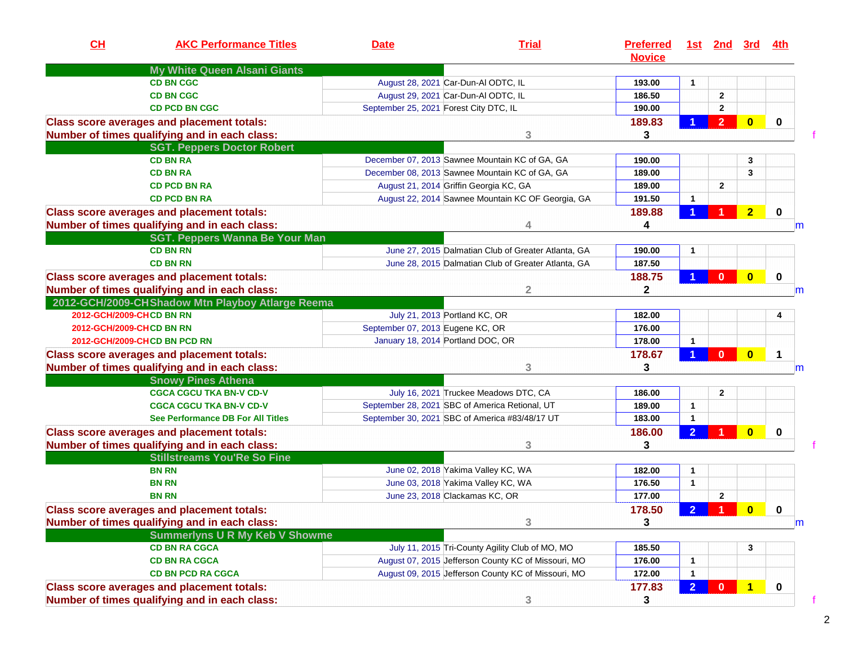| CH<br><b>AKC Performance Titles</b>                                                                | <b>Date</b>                         | <b>Trial</b>                                                             | <b>Preferred</b><br><b>Novice</b> |                              | <u>1st 2nd 3rd</u> |                         | 4th         |
|----------------------------------------------------------------------------------------------------|-------------------------------------|--------------------------------------------------------------------------|-----------------------------------|------------------------------|--------------------|-------------------------|-------------|
| My White Queen Alsani Giants                                                                       |                                     |                                                                          | 193.00                            |                              |                    |                         |             |
| <b>CD BN CGC</b>                                                                                   |                                     | August 28, 2021 Car-Dun-Al ODTC, IL                                      |                                   | $\mathbf{1}$                 |                    |                         |             |
| <b>CD BN CGC</b>                                                                                   | August 29, 2021 Car-Dun-Al ODTC, IL |                                                                          | 186.50<br>190.00                  |                              | $\mathbf{2}$       |                         |             |
| <b>CD PCD BN CGC</b>                                                                               |                                     | September 25, 2021 Forest City DTC, IL                                   |                                   |                              | $\mathbf 2$        |                         |             |
| <b>Class score averages and placement totals:</b><br>Number of times qualifying and in each class: |                                     | 3                                                                        | 189.83<br>3                       |                              | $\overline{2}$     | $\bf{0}$                | $\mathbf 0$ |
| <b>SGT. Peppers Doctor Robert</b>                                                                  |                                     |                                                                          |                                   |                              |                    |                         |             |
| <b>CD BN RA</b>                                                                                    |                                     | December 07, 2013 Sawnee Mountain KC of GA, GA                           | 190.00                            |                              |                    | 3                       |             |
| <b>CD BN RA</b>                                                                                    |                                     | December 08, 2013 Sawnee Mountain KC of GA, GA                           |                                   |                              |                    | 3                       |             |
| <b>CD PCD BN RA</b>                                                                                |                                     | August 21, 2014 Griffin Georgia KC, GA                                   |                                   |                              | $\mathbf{2}$       |                         |             |
| <b>CD PCD BN RA</b>                                                                                |                                     | August 22, 2014 Sawnee Mountain KC OF Georgia, GA                        | 191.50                            | $\mathbf{1}$                 |                    |                         |             |
| <b>Class score averages and placement totals:</b>                                                  |                                     |                                                                          | 189.88                            |                              |                    | $\overline{2}$          | $\mathbf 0$ |
| Number of times qualifying and in each class:                                                      |                                     |                                                                          | 4                                 |                              |                    |                         | m           |
| <b>SGT. Peppers Wanna Be Your Man</b>                                                              |                                     |                                                                          |                                   |                              |                    |                         |             |
| <b>CD BN RN</b>                                                                                    |                                     | June 27, 2015 Dalmatian Club of Greater Atlanta, GA                      | 190.00                            | 1                            |                    |                         |             |
| <b>CD BN RN</b>                                                                                    |                                     | June 28, 2015 Dalmatian Club of Greater Atlanta, GA                      | 187.50                            |                              |                    |                         |             |
| <b>Class score averages and placement totals:</b>                                                  |                                     |                                                                          | 188.75                            |                              | $\mathbf{0}$       | $\overline{\mathbf{0}}$ | $\mathbf 0$ |
| Number of times qualifying and in each class:                                                      |                                     | $\overline{2}$                                                           | $\mathbf 2$                       |                              |                    |                         | m           |
| 2012-GCH/2009-CHShadow Mtn Playboy Atlarge Reema                                                   |                                     |                                                                          |                                   |                              |                    |                         |             |
| 2012-GCH/2009-CHCD BN RN                                                                           | July 21, 2013 Portland KC, OR       |                                                                          | 182.00                            |                              |                    |                         | 4           |
| 2012-GCH/2009-CHCD BN RN                                                                           | September 07, 2013 Eugene KC, OR    |                                                                          | 176.00                            |                              |                    |                         |             |
| 2012-GCH/2009-CHCD BN PCD RN                                                                       | January 18, 2014 Portland DOC, OR   |                                                                          | 178.00                            | $\overline{1}$               |                    |                         |             |
| <b>Class score averages and placement totals:</b><br>Number of times qualifying and in each class: |                                     | 3                                                                        | 178.67<br>3                       |                              | $\mathbf{0}$       | $\bf{0}$                | 1<br>m      |
| <b>Snowy Pines Athena</b>                                                                          |                                     |                                                                          |                                   |                              |                    |                         |             |
| <b>CGCA CGCU TKA BN-V CD-V</b>                                                                     |                                     | July 16, 2021 Truckee Meadows DTC, CA                                    | 186.00                            |                              | $\mathbf{2}$       |                         |             |
| <b>CGCA CGCU TKA BN-V CD-V</b>                                                                     |                                     | September 28, 2021 SBC of America Retional, UT                           | 189.00                            | $\mathbf{1}$                 |                    |                         |             |
| See Performance DB For All Titles                                                                  |                                     | September 30, 2021 SBC of America #83/48/17 UT                           | 183.00                            | $\mathbf{1}$                 |                    |                         |             |
| <b>Class score averages and placement totals:</b>                                                  |                                     |                                                                          | 186.00                            | $\overline{2}$               |                    | $\bf{0}$                | 0           |
| Number of times qualifying and in each class:                                                      |                                     | 3                                                                        | 3                                 |                              |                    |                         |             |
| <b>Stillstreams You'Re So Fine</b>                                                                 |                                     |                                                                          |                                   |                              |                    |                         |             |
| <b>BN RN</b><br><b>BN RN</b>                                                                       |                                     | June 02, 2018 Yakima Valley KC, WA<br>June 03, 2018 Yakima Valley KC, WA | 182.00<br>176.50                  | $\mathbf{1}$<br>$\mathbf{1}$ |                    |                         |             |
|                                                                                                    |                                     |                                                                          |                                   |                              |                    |                         |             |
| <b>BN RN</b>                                                                                       | June 23, 2018 Clackamas KC, OR      |                                                                          | 177.00                            |                              | $\overline{2}$     |                         |             |
| Class score averages and placement totals:                                                         |                                     |                                                                          | 178.50                            | 2 <sup>1</sup>               | -1                 | $\bf{0}$                | 0           |
| Number of times qualifying and in each class:                                                      |                                     | 3                                                                        | 3                                 |                              |                    |                         | m           |
| <b>Summerlyns U R My Keb V Showme</b>                                                              |                                     |                                                                          |                                   |                              |                    |                         |             |
| <b>CD BN RA CGCA</b>                                                                               |                                     | July 11, 2015 Tri-County Agility Club of MO, MO                          | 185.50                            |                              |                    | 3                       |             |
| <b>CD BN RA CGCA</b>                                                                               |                                     | August 07, 2015 Jefferson County KC of Missouri, MO                      | 176.00                            | $\mathbf{1}$                 |                    |                         |             |
| <b>CD BN PCD RA CGCA</b>                                                                           |                                     | August 09, 2015 Jefferson County KC of Missouri, MO                      | 172.00                            | $\mathbf{1}$                 |                    |                         |             |
| <b>Class score averages and placement totals:</b><br>Number of times qualifying and in each class: |                                     | 3                                                                        | 177.83<br>3                       | $\overline{2}$               | $\mathbf{0}$       | $\overline{\mathbf{1}}$ | 0           |

2